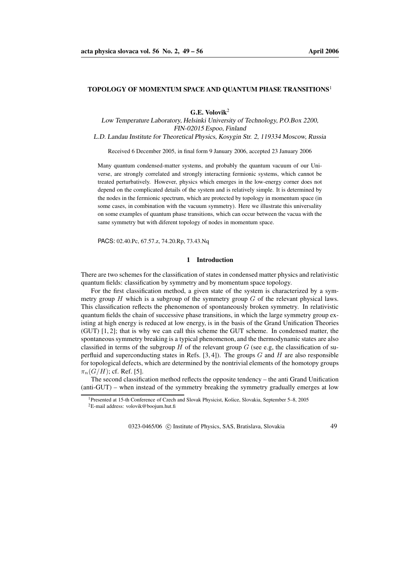### **TOPOLOGY OF MOMENTUM SPACE AND QUANTUM PHASE TRANSITIONS**<sup>1</sup>

**G.E. Volovik**<sup>2</sup>

Low Temperature Laboratory, Helsinki University of Technology, P.O.Box 2200, FIN-02015 Espoo, Finland

L.D. Landau Institute for Theoretical Physics, Kosygin Str. 2, 119334 Moscow, Russia

Received 6 December 2005, in final form 9 January 2006, accepted 23 January 2006

Many quantum condensed-matter systems, and probably the quantum vacuum of our Universe, are strongly correlated and strongly interacting fermionic systems, which cannot be treated perturbatively. However, physics which emerges in the low-energy corner does not depend on the complicated details of the system and is relatively simple. It is determined by the nodes in the fermionic spectrum, which are protected by topology in momentum space (in some cases, in combination with the vacuum symmetry). Here we illustrate this universality on some examples of quantum phase transitions, which can occur between the vacua with the same symmetry but with diferent topology of nodes in momentum space.

PACS: 02.40.Pc, 67.57.z, 74.20.Rp, 73.43.Nq

### **1 Introduction**

There are two schemes for the classification of states in condensed matter physics and relativistic quantum fields: classification by symmetry and by momentum space topology.

For the first classification method, a given state of the system is characterized by a symmetry group  $H$  which is a subgroup of the symmetry group  $G$  of the relevant physical laws. This classification reflects the phenomenon of spontaneously broken symmetry. In relativistic quantum fields the chain of successive phase transitions, in which the large symmetry group existing at high energy is reduced at low energy, is in the basis of the Grand Unification Theories (GUT) [1, 2]; that is why we can call this scheme the GUT scheme. In condensed matter, the spontaneous symmetry breaking is a typical phenomenon, and the thermodynamic states are also classified in terms of the subgroup H of the relevant group  $G$  (see e.g, the classification of superfluid and superconducting states in Refs.  $[3, 4]$ ). The groups G and H are also responsible for topological defects, which are determined by the nontrivial elements of the homotopy groups  $\pi_n(G/H)$ ; cf. Ref. [5].

The second classification method reflects the opposite tendency – the anti Grand Unification (anti-GUT) – when instead of the symmetry breaking the symmetry gradually emerges at low

0323-0465/06 (c) Institute of Physics, SAS, Bratislava, Slovakia 49

<sup>&</sup>lt;sup>1</sup>Presented at 15-th Conference of Czech and Slovak Physicist, Košice, Slovakia, September 5–8, 2005

 ${}^{2}E$ -mail address: volovik@boojum.hut.fi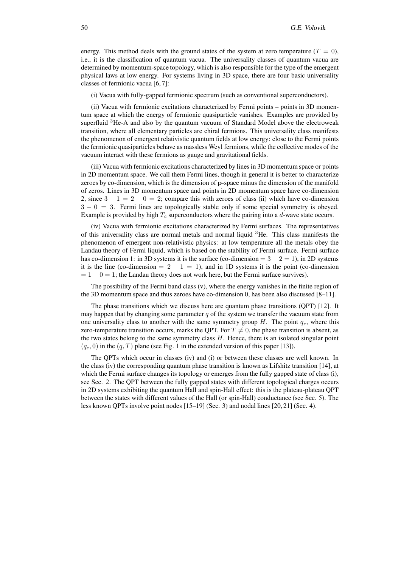energy. This method deals with the ground states of the system at zero temperature  $(T = 0)$ , i.e., it is the classification of quantum vacua. The universality classes of quantum vacua are determined by momentum-space topology, which is also responsible for the type of the emergent physical laws at low energy. For systems living in 3D space, there are four basic universality classes of fermionic vacua [6, 7]:

(i) Vacua with fully-gapped fermionic spectrum (such as conventional superconductors).

(ii) Vacua with fermionic excitations characterized by Fermi points – points in 3D momentum space at which the energy of fermionic quasiparticle vanishes. Examples are provided by superfluid <sup>3</sup>He-A and also by the quantum vacuum of Standard Model above the electroweak transition, where all elementary particles are chiral fermions. This universality class manifests the phenomenon of emergent relativistic quantum fields at low energy: close to the Fermi points the fermionic quasiparticles behave as massless Weyl fermions, while the collective modes of the vacuum interact with these fermions as gauge and gravitational fields.

(iii) Vacua with fermionic excitations characterized by lines in 3D momentum space or points in 2D momentum space. We call them Fermi lines, though in general it is better to characterize zeroes by co-dimension, which is the dimension of p-space minus the dimension of the manifold of zeros. Lines in 3D momentum space and points in 2D momentum space have co-dimension 2, since  $3 - 1 = 2 - 0 = 2$ ; compare this with zeroes of class (ii) which have co-dimension  $3 - 0 = 3$ . Fermi lines are topologically stable only if some special symmetry is obeyed. Example is provided by high  $T_c$  superconductors where the pairing into a d-wave state occurs.

(iv) Vacua with fermionic excitations characterized by Fermi surfaces. The representatives of this universality class are normal metals and normal liquid <sup>3</sup>He. This class manifests the phenomenon of emergent non-relativistic physics: at low temperature all the metals obey the Landau theory of Fermi liquid, which is based on the stability of Fermi surface. Fermi surface has co-dimension 1: in 3D systems it is the surface (co-dimension  $= 3 - 2 = 1$ ), in 2D systems it is the line (co-dimension =  $2 - 1 = 1$ ), and in 1D systems it is the point (co-dimension  $= 1 - 0 = 1$ ; the Landau theory does not work here, but the Fermi surface survives).

The possibility of the Fermi band class (v), where the energy vanishes in the finite region of the 3D momentum space and thus zeroes have co-dimension 0, has been also discussed [8–11].

The phase transitions which we discuss here are quantum phase transitions (QPT) [12]. It may happen that by changing some parameter  $q$  of the system we transfer the vacuum state from one universality class to another with the same symmetry group  $H$ . The point  $q_c$ , where this zero-temperature transition occurs, marks the QPT. For  $T \neq 0$ , the phase transition is absent, as the two states belong to the same symmetry class  $H$ . Hence, there is an isolated singular point  $(q_c, 0)$  in the  $(q, T)$  plane (see Fig. 1 in the extended version of this paper [13]).

The QPTs which occur in classes (iv) and (i) or between these classes are well known. In the class (iv) the corresponding quantum phase transition is known as Lifshitz transition [14], at which the Fermi surface changes its topology or emerges from the fully gapped state of class (i), see Sec. 2. The QPT between the fully gapped states with different topological charges occurs in 2D systems exhibiting the quantum Hall and spin-Hall effect: this is the plateau-plateau QPT between the states with different values of the Hall (or spin-Hall) conductance (see Sec. 5). The less known QPTs involve point nodes [15–19] (Sec. 3) and nodal lines [20, 21] (Sec. 4).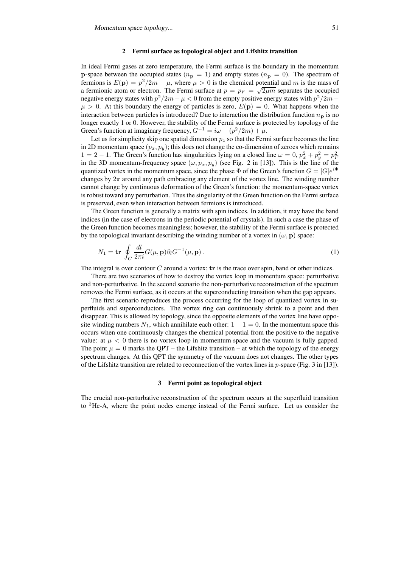#### **2 Fermi surface as topological object and Lifshitz transition**

In ideal Fermi gases at zero temperature, the Fermi surface is the boundary in the momentum p-space between the occupied states ( $n_p = 1$ ) and empty states ( $n_p = 0$ ). The spectrum of fermions is  $E(\mathbf{p}) = p^2/2m - \mu$ , where  $\mu > 0$  is the chemical potential and m is the mass of a fermionic atom or electron. The Fermi surface at  $p = p_F = \sqrt{2\mu m}$  separates the occupied negative energy states with  $p^2/2m - \mu < 0$  from the empty positive energy states with  $p^2/2m \mu > 0$ . At this boundary the energy of particles is zero,  $E(\mathbf{p}) = 0$ . What happens when the interaction between particles is introduced? Due to interaction the distribution function  $n_p$  is no longer exactly 1 or 0. However, the stability of the Fermi surface is protected by topology of the Green's function at imaginary frequency,  $G^{-1} = i\omega - (p^2/2m) + \mu$ .

Let us for simplicity skip one spatial dimension  $p_z$  so that the Fermi surface becomes the line in 2D momentum space  $(p_x, p_y)$ ; this does not change the co-dimension of zeroes which remains  $1 = 2 - 1$ . The Green's function has singularities lying on a closed line  $\omega = 0$ ,  $p_x^2 + p_y^2 = p_F^2$ in the 3D momentum-frequency space  $(\omega, p_x, p_y)$  (see Fig. 2 in [13]). This is the line of the quantized vortex in the momentum space, since the phase  $\Phi$  of the Green's function  $G = |G|e^{i\Phi}$ changes by  $2\pi$  around any path embracing any element of the vortex line. The winding number cannot change by continuous deformation of the Green's function: the momentum-space vortex is robust toward any perturbation. Thus the singularity of the Green function on the Fermi surface is preserved, even when interaction between fermions is introduced.

The Green function is generally a matrix with spin indices. In addition, it may have the band indices (in the case of electrons in the periodic potential of crystals). In such a case the phase of the Green function becomes meaningless; however, the stability of the Fermi surface is protected by the topological invariant describing the winding number of a vortex in  $(\omega, \mathbf{p})$  space:

$$
N_1 = \mathbf{tr} \oint_C \frac{dl}{2\pi i} G(\mu, \mathbf{p}) \partial_l G^{-1}(\mu, \mathbf{p}) \,. \tag{1}
$$

The integral is over contour  $C$  around a vortex;  ${\bf tr}$  is the trace over spin, band or other indices.

There are two scenarios of how to destroy the vortex loop in momentum space: perturbative and non-perturbative. In the second scenario the non-perturbative reconstruction of the spectrum removes the Fermi surface, as it occurs at the superconducting transition when the gap appears.

The first scenario reproduces the process occurring for the loop of quantized vortex in superfluids and superconductors. The vortex ring can continuously shrink to a point and then disappear. This is allowed by topology, since the opposite elements of the vortex line have opposite winding numbers  $N_1$ , which annihilate each other:  $1 - 1 = 0$ . In the momentum space this occurs when one continuously changes the chemical potential from the positive to the negative value: at  $\mu < 0$  there is no vortex loop in momentum space and the vacuum is fully gapped. The point  $\mu = 0$  marks the QPT – the Lifshitz transition – at which the topology of the energy spectrum changes. At this QPT the symmetry of the vacuum does not changes. The other types of the Lifshitz transition are related to reconnection of the vortex lines in  $p$ -space (Fig. 3 in [13]).

## **3 Fermi point as topological object**

The crucial non-perturbative reconstruction of the spectrum occurs at the superfluid transition to <sup>3</sup>He-A, where the point nodes emerge instead of the Fermi surface. Let us consider the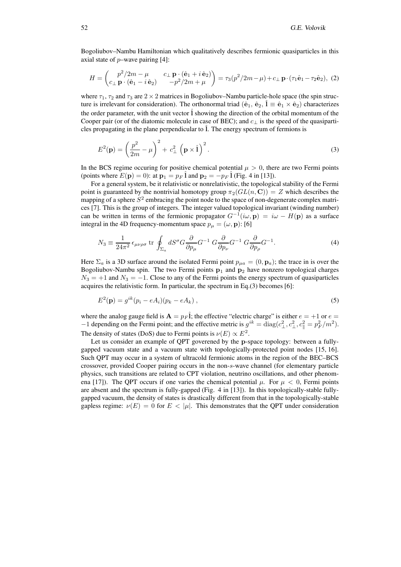Bogoliubov–Nambu Hamiltonian which qualitatively describes fermionic quasiparticles in this axial state of  $p$ –wave pairing [4]:

$$
H = \begin{pmatrix} p^2/2m - \mu & c_\perp \mathbf{p} \cdot (\hat{\mathbf{e}}_1 + i\,\hat{\mathbf{e}}_2) \\ c_\perp \mathbf{p} \cdot (\hat{\mathbf{e}}_1 - i\,\hat{\mathbf{e}}_2) & -p^2/2m + \mu \end{pmatrix} = \tau_3(p^2/2m - \mu) + c_\perp \mathbf{p} \cdot (\tau_1 \hat{\mathbf{e}}_1 - \tau_2 \hat{\mathbf{e}}_2), \tag{2}
$$

where  $\tau_1$ ,  $\tau_2$  and  $\tau_3$  are  $2 \times 2$  matrices in Bogoliubov–Nambu particle-hole space (the spin structure is irrelevant for consideration). The orthonormal triad  $(\hat{e}_1, \hat{e}_2, \hat{1} \equiv \hat{e}_1 \times \hat{e}_2)$  characterizes the order parameter, with the unit vector  $\hat{I}$  showing the direction of the orbital momentum of the Cooper pair (or of the diatomic molecule in case of BEC); and  $c_{\perp}$  is the speed of the quasiparticles propagating in the plane perpendicular to  $\hat{l}$ . The energy spectrum of fermions is

$$
E^{2}(\mathbf{p}) = \left(\frac{p^{2}}{2m} - \mu\right)^{2} + c_{\perp}^{2} \left(\mathbf{p} \times \hat{\mathbf{I}}\right)^{2}.
$$
 (3)

In the BCS regime occuring for positive chemical potential  $\mu > 0$ , there are two Fermi points (points where  $E(\mathbf{p}) = 0$ ): at  $\mathbf{p}_1 = p_F \hat{1}$  and  $\mathbf{p}_2 = -p_F \hat{1}$  (Fig. 4 in [13]).

For a general system, be it relativistic or nonrelativistic, the topological stability of the Fermi point is guaranteed by the nontrivial homotopy group  $\pi_2(GL(n, \mathbb{C})) = Z$  which describes the mapping of a sphere  $S^2$  embracing the point node to the space of non-degenerate complex matrices [7]. This is the group of integers. The integer valued topological invariant (winding number) can be written in terms of the fermionic propagator  $G^{-1}(i\omega, \mathbf{p}) = i\omega - H(\mathbf{p})$  as a surface integral in the 4D frequency-momentum space  $p_{\mu} = (\omega, \mathbf{p})$ : [6]

$$
N_3 \equiv \frac{1}{24\pi^2} \epsilon_{\mu\nu\rho\sigma} \text{ tr } \oint_{\Sigma_a} dS^{\sigma} G \frac{\partial}{\partial p_{\mu}} G^{-1} G \frac{\partial}{\partial p_{\nu}} G^{-1} G \frac{\partial}{\partial p_{\rho}} G^{-1}.
$$
 (4)

Here  $\Sigma_a$  is a 3D surface around the isolated Fermi point  $p_{\mu a} = (0, \mathbf{p}_a)$ ; the trace in is over the Bogoliubov-Nambu spin. The two Fermi points  $p_1$  and  $p_2$  have nonzero topological charges  $N_3 = +1$  and  $N_3 = -1$ . Close to any of the Fermi points the energy spectrum of quasiparticles acquires the relativistic form. In particular, the spectrum in Eq.(3) becomes [6]:

$$
E2(\mathbf{p}) = gik(pi - eAi)(pk - eAk),
$$
\n(5)

where the analog gauge field is  $\mathbf{A} = p_F \hat{\mathbf{l}}$ ; the effective "electric charge" is either  $e = +1$  or  $e =$ −1 depending on the Fermi point; and the effective metric is  $g^{ik} = \text{diag}(c_\perp^2, c_\perp^2, c_\parallel^2 = p_F^2/m^2)$ . The density of states (DoS) due to Fermi points is  $\nu(E) \propto E^2$ .

Let us consider an example of QPT goverened by the p-space topology: between a fullygapped vacuum state and a vacuum state with topologically-protected point nodes [15, 16]. Such QPT may occur in a system of ultracold fermionic atoms in the region of the BEC–BCS crossover, provided Cooper pairing occurs in the non-s-wave channel (for elementary particle physics, such transitions are related to CPT violation, neutrino oscillations, and other phenomena [17]). The QPT occurs if one varies the chemical potential  $\mu$ . For  $\mu < 0$ , Fermi points are absent and the spectrum is fully-gapped (Fig. 4 in [13]). In this topologically-stable fullygapped vacuum, the density of states is drastically different from that in the topologically-stable gapless regime:  $\nu(E) = 0$  for  $E < |\mu|$ . This demonstrates that the QPT under consideration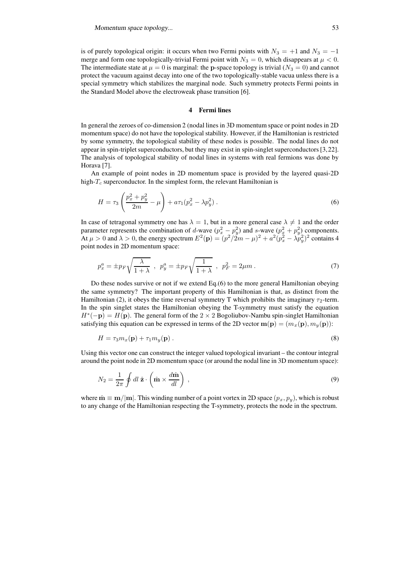is of purely topological origin: it occurs when two Fermi points with  $N_3 = +1$  and  $N_3 = -1$ merge and form one topologically-trivial Fermi point with  $N_3 = 0$ , which disappears at  $\mu < 0$ . The intermediate state at  $\mu = 0$  is marginal: the p-space topology is trivial  $(N_3 = 0)$  and cannot protect the vacuum against decay into one of the two topologically-stable vacua unless there is a special symmetry which stabilizes the marginal node. Such symmetry protects Fermi points in the Standard Model above the electroweak phase transition [6].

## **4 Fermi lines**

In general the zeroes of co-dimension 2 (nodal lines in 3D momentum space or point nodes in 2D momentum space) do not have the topological stability. However, if the Hamiltonian is restricted by some symmetry, the topological stability of these nodes is possible. The nodal lines do not appear in spin-triplet superconductors, but they may exist in spin-singlet superconductors[3,22]. The analysis of topological stability of nodal lines in systems with real fermions was done by Horava [7].

An example of point nodes in 2D momentum space is provided by the layered quasi-2D high- $T_c$  superconductor. In the simplest form, the relevant Hamiltonian is

$$
H = \tau_3 \left( \frac{p_x^2 + p_y^2}{2m} - \mu \right) + a \tau_1 (p_x^2 - \lambda p_y^2) \,. \tag{6}
$$

In case of tetragonal symmetry one has  $\lambda = 1$ , but in a more general case  $\lambda \neq 1$  and the order parameter represents the combination of d-wave  $(p_x^2 - p_y^2)$  and s-wave  $(p_x^2 + p_y^2)$  components. At  $\mu > 0$  and  $\lambda > 0$ , the energy spectrum  $E^2(\mathbf{p}) = (p^2/2m - \mu)^2 + a^2(p_x^2 - \lambda p_y^2)^2$  contains 4 point nodes in 2D momentum space:

$$
p_x^a = \pm p_F \sqrt{\frac{\lambda}{1+\lambda}} \ , \ p_y^a = \pm p_F \sqrt{\frac{1}{1+\lambda}} \ , \ p_F^2 = 2\mu m \ . \tag{7}
$$

Do these nodes survive or not if we extend Eq.(6) to the more general Hamiltonian obeying the same symmetry? The important property of this Hamiltonian is that, as distinct from the Hamiltonian (2), it obeys the time reversal symmetry T which prohibits the imaginary  $\tau_2$ -term. In the spin singlet states the Hamiltonian obeying the T-symmetry must satisfy the equation  $H^*(-\mathbf{p}) = H(\mathbf{p})$ . The general form of the 2 × 2 Bogoliubov-Nambu spin-singlet Hamiltonian satisfying this equation can be expressed in terms of the 2D vector  $\mathbf{m}(\mathbf{p}) = (m_x(\mathbf{p}), m_y(\mathbf{p}))$ :

$$
H = \tau_3 m_x(\mathbf{p}) + \tau_1 m_y(\mathbf{p}) \,. \tag{8}
$$

Using this vector one can construct the integer valued topological invariant – the contour integral around the point node in 2D momentum space (or around the nodal line in 3D momentum space):

$$
N_2 = \frac{1}{2\pi} \oint dl \,\hat{\mathbf{z}} \cdot \left( \hat{\mathbf{m}} \times \frac{d\hat{\mathbf{m}}}{dl} \right) \,, \tag{9}
$$

where  $\hat{\mathbf{m}} \equiv \mathbf{m}/|\mathbf{m}|$ . This winding number of a point vortex in 2D space  $(p_x, p_y)$ , which is robust to any change of the Hamiltonian respecting the T-symmetry, protects the node in the spectrum.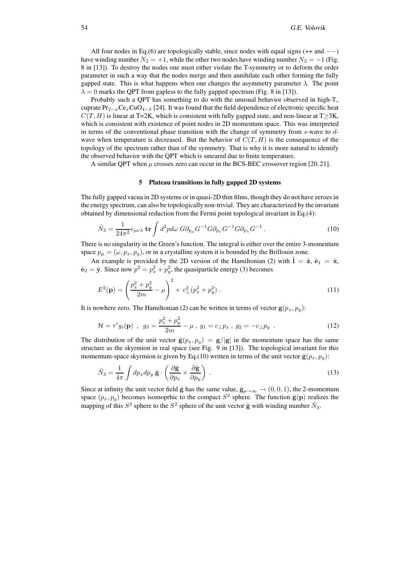All four nodes in Eq.(6) are topologically stable, since nodes with equal signs  $(+$  and  $--)$ have winding number  $N_2 = +1$ , while the other two nodes have winding number  $N_2 = -1$  (Fig. 8 in [13]). To destroy the nodes one must either violate the T-symmetry or to deform the order parameter in such a way that the nodes merge and then annihilate each other forming the fully gapped state. This is what happens when one changes the asymmetry parameter  $\lambda$ . The point  $\lambda = 0$  marks the QPT from gapless to the fully gapped spectrum (Fig. 8 in [13]).

Probably such a QPT has something to do with the unusual behavior observed in high- $T_c$ cuprate  $Pr_{2-x}Ce_xCuO_{4-\delta}$  [24]. It was found that the field dependence of electronic specific heat  $C(T, H)$  is linear at T=2K, which is consistent with fully gapped state, and non-linear at T≥3K, which is consistent with existence of point nodes in 2D momentum space. This was interpreted in terms of the conventional phase transition with the change of symmetry from  $s$ -wave to  $d$ wave when temperature is decreased. But the behavior of  $C(T, H)$  is the consequence of the topology of the spectrum rather than of the symmetry. That is why it is more natural to identify the observed behavior with the QPT which is smeared due to finite temperature.

A similar QPT when  $\mu$  crosses zero can occur in the BCS-BEC crossover region [20, 21].

# **5 Plateau transitions in fully gapped 2D systems**

The fully gapped vacua in 2D systems or in quasi-2D thin films, though they do not have zeroes in the energy spectrum, can also be topologically non-trivial. They are characterized by the invariant obtained by dimensional reduction from the Fermi point topological invariant in Eq.(4):

$$
\tilde{N}_3 = \frac{1}{24\pi^2} e_{\mu\nu\lambda} \mathbf{tr} \int d^2p d\omega \, G \partial_{p_\mu} G^{-1} G \partial_{p_\nu} G^{-1} G \partial_{p_\lambda} G^{-1} \,. \tag{10}
$$

There is no singularity in the Green's function. The integral is either over the entire 3-momentum space  $p_{\mu} = (\omega, p_x, p_y)$ , or in a crystalline system it is bounded by the Brillouin zone.

An example is provided by the 2D version of the Hamiltonian (2) with  $\hat{\mathbf{l}} = \hat{\mathbf{z}}, \hat{\mathbf{e}}_1 = \hat{\mathbf{x}},$  $\hat{\mathbf{e}}_2 = \hat{\mathbf{y}}$ . Since now  $p^2 = p_x^2 + p_y^2$ , the quasiparticle energy (3) becomes

$$
E^{2}(\mathbf{p}) = \left(\frac{p_x^2 + p_y^2}{2m} - \mu\right)^2 + c_{\perp}^2 (p_x^2 + p_y^2) . \tag{11}
$$

It is nowhere zero. The Hamiltonian (2) can be written in terms of vector  $g(p_x, p_y)$ :

$$
\mathcal{H} = \tau^{i} g_{i}(\mathbf{p}) \ , \ g_{3} = \frac{p_{x}^{2} + p_{y}^{2}}{2m} - \mu \ , \ g_{1} = c_{\perp} p_{x} \ , \ g_{2} = -c_{\perp} p_{y} \ . \tag{12}
$$

The distribution of the unit vector  $\hat{\mathbf{g}}(p_x, p_y) = \mathbf{g}/|\mathbf{g}|$  in the momentum space has the same structure as the skyrmion in real space (see Fig. 9 in [13]). The topological invariant for this momentum-space skyrmion is given by Eq.(10) written in terms of the unit vector  $\hat{\mathbf{g}}(p_x, p_y)$ :

$$
\tilde{N}_3 = \frac{1}{4\pi} \int dp_x dp_y \hat{\mathbf{g}} \cdot \left( \frac{\partial \hat{\mathbf{g}}}{\partial p_x} \times \frac{\partial \hat{\mathbf{g}}}{\partial p_y} \right) . \tag{13}
$$

Since at infinity the unit vector field  $\hat{\mathbf{g}}$  has the same value,  $\hat{\mathbf{g}}_{p\to\infty} \to (0,0,1)$ , the 2-momentum space  $(p_x, p_y)$  becomes isomoprhic to the compact  $S^2$  sphere. The function  $\hat{\mathbf{g}}(\mathbf{p})$  realizes the mapping of this  $S^2$  sphere to the  $S^2$  sphere of the unit vector  $\hat{g}$  with winding number  $\tilde{N}_3$ .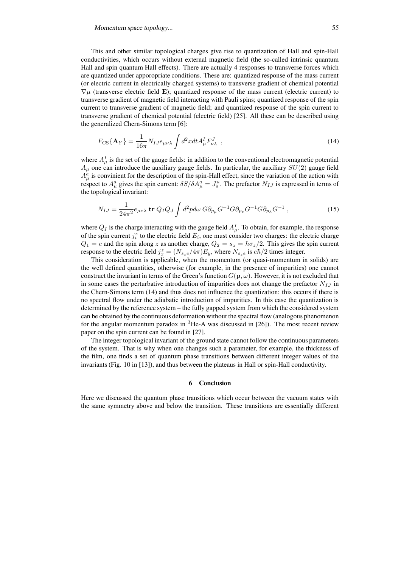This and other similar topological charges give rise to quantization of Hall and spin-Hall conductivities, which occurs without external magnetic field (the so-called intrinsic quantum Hall and spin quantum Hall effects). There are actually 4 responses to transverse forces which are quantized under apporopriate conditions. These are: quantized response of the mass current (or electric current in electrically charged systems) to transverse gradient of chemical potential  $\nabla \mu$  (transverse electric field E); quantized response of the mass current (electric current) to transverse gradient of magnetic field interacting with Pauli spins; quantized response of the spin current to transverse gradient of magnetic field; and quantized response of the spin current to transverse gradient of chemical potential (electric field) [25]. All these can be described using the generalized Chern-Simons term [6]:

$$
F_{\rm CS}\{\mathbf{A}_Y\} = \frac{1}{16\pi} N_{IJ} e_{\mu\nu\lambda} \int d^2x dt A^I_\mu F^J_{\nu\lambda} \quad , \tag{14}
$$

where  $A^I_\mu$  is the set of the gauge fields: in addition to the conventional electromagnetic potential  $A<sub>\mu</sub>$  one can introduce the auxiliary gauge fields. In particular, the auxiliary  $SU(2)$  gauge field  $A^a_\mu$  is convinient for the description of the spin-Hall effect, since the variation of the action with respect to  $A^a_\mu$  gives the spin current:  $\delta S/\delta A^a_\mu = J^{\mu}_a$ . The prefactor  $N_{IJ}$  is expressed in terms of the topological invariant:

$$
N_{IJ} = \frac{1}{24\pi^2} e_{\mu\nu\lambda} \operatorname{tr} Q_I Q_J \int d^2p d\omega G \partial_{p_\mu} G^{-1} G \partial_{p_\nu} G^{-1} G \partial_{p_\lambda} G^{-1} , \qquad (15)
$$

where  $Q_I$  is the charge interacting with the gauge field  $A^I_\mu$ . To obtain, for example, the response of the spin current  $j_i^z$  to the electric field  $E_i$ , one must consider two charges: the electric charge  $Q_1 = e$  and the spin along z as another charge,  $Q_2 = s_z = \hbar \sigma_z/2$ . This gives the spin current response to the electric field  $j_x^z = (N_{s_z}e/4\pi)E_y$ , where  $N_{s_z}e$  is  $e\hbar/2$  times integer.

This consideration is applicable, when the momentum (or quasi-momentum in solids) are the well defined quantities, otherwise (for example, in the presence of impurities) one cannot construct the invariant in terms of the Green's function  $G(\mathbf{p}, \omega)$ . However, it is not excluded that in some cases the perturbative introduction of impurities does not change the prefactor  $N_{IJ}$  in the Chern-Simons term (14) and thus does not influence the quantization: this occurs if there is no spectral flow under the adiabatic introduction of impurities. In this case the quantization is determined by the reference system – the fully gapped system from which the considered system can be obtained by the continuous deformation without the spectral flow (analogous phenomenon for the angular momentum paradox in  ${}^{3}$ He-A was discussed in [26]). The most recent review paper on the spin current can be found in [27].

The integer topological invariant of the ground state cannot follow the continuous parameters of the system. That is why when one changes such a parameter, for example, the thickness of the film, one finds a set of quantum phase transitions between different integer values of the invariants (Fig. 10 in [13]), and thus between the plateaus in Hall or spin-Hall conductivity.

#### **6 Conclusion**

Here we discussed the quantum phase transitions which occur between the vacuum states with the same symmetry above and below the transition. These transitions are essentially different